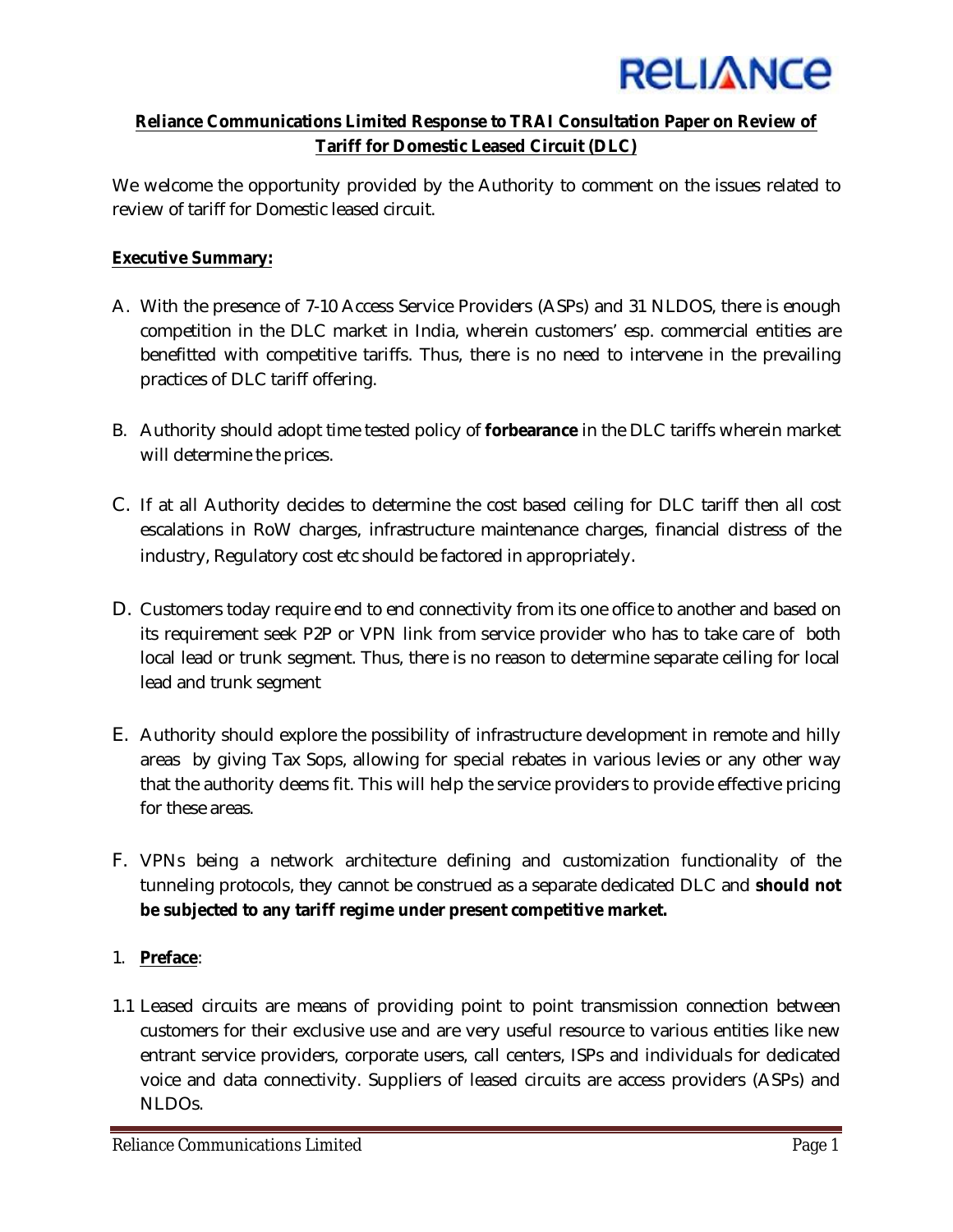

## **Reliance Communications Limited Response to TRAI Consultation Paper on Review of Tariff for Domestic Leased Circuit (DLC)**

We welcome the opportunity provided by the Authority to comment on the issues related to review of tariff for Domestic leased circuit.

## **Executive Summary:**

- A. With the presence of 7-10 Access Service Providers (ASPs) and 31 NLDOS, there is enough competition in the DLC market in India, wherein customers' esp. commercial entities are benefitted with competitive tariffs. Thus, there is no need to intervene in the prevailing practices of DLC tariff offering.
- B. Authority should adopt time tested policy of **forbearance** in the DLC tariffs wherein market will determine the prices.
- C. If at all Authority decides to determine the cost based ceiling for DLC tariff then all cost escalations in RoW charges, infrastructure maintenance charges, financial distress of the industry, Regulatory cost etc should be factored in appropriately.
- D. Customers today require end to end connectivity from its one office to another and based on its requirement seek P2P or VPN link from service provider who has to take care of both local lead or trunk segment. Thus, there is no reason to determine separate ceiling for local lead and trunk segment
- E. Authority should explore the possibility of infrastructure development in remote and hilly areas by giving Tax Sops, allowing for special rebates in various levies or any other way that the authority deems fit. This will help the service providers to provide effective pricing for these areas.
- F. VPNs being a network architecture defining and customization functionality of the tunneling protocols, they cannot be construed as a separate dedicated DLC and **should not be subjected to any tariff regime under present competitive market.**

# 1. **Preface**:

1.1 Leased circuits are means of providing point to point transmission connection between customers for their exclusive use and are very useful resource to various entities like new entrant service providers, corporate users, call centers, ISPs and individuals for dedicated voice and data connectivity. Suppliers of leased circuits are access providers (ASPs) and NLDOs.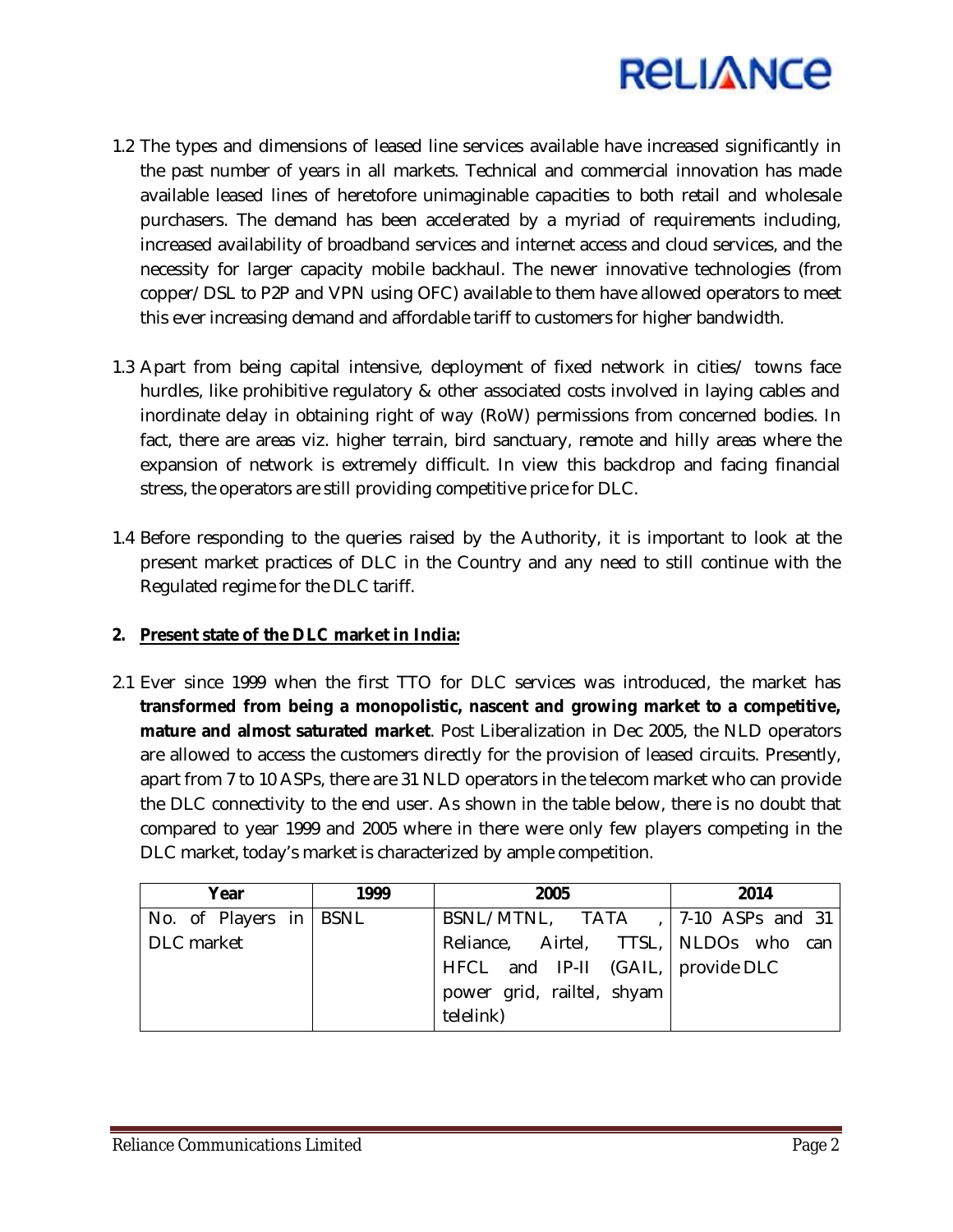

- 1.2 The types and dimensions of leased line services available have increased significantly in the past number of years in all markets. Technical and commercial innovation has made available leased lines of heretofore unimaginable capacities to both retail and wholesale purchasers. The demand has been accelerated by a myriad of requirements including, increased availability of broadband services and internet access and cloud services, and the necessity for larger capacity mobile backhaul. The newer innovative technologies (from copper/DSL to P2P and VPN using OFC) available to them have allowed operators to meet this ever increasing demand and affordable tariff to customers for higher bandwidth.
- 1.3 Apart from being capital intensive, deployment of fixed network in cities/ towns face hurdles, like prohibitive regulatory & other associated costs involved in laying cables and inordinate delay in obtaining right of way (RoW) permissions from concerned bodies. In fact, there are areas viz. higher terrain, bird sanctuary, remote and hilly areas where the expansion of network is extremely difficult. In view this backdrop and facing financial stress, the operators are still providing competitive price for DLC.
- 1.4 Before responding to the queries raised by the Authority, it is important to look at the present market practices of DLC in the Country and any need to still continue with the Regulated regime for the DLC tariff.

## **2. Present state of the DLC market in India:**

2.1 Ever since 1999 when the first TTO for DLC services was introduced, the market has **transformed from being a monopolistic, nascent and growing market to a competitive, mature and almost saturated market**. Post Liberalization in Dec 2005, the NLD operators are allowed to access the customers directly for the provision of leased circuits. Presently, apart from 7 to 10 ASPs, there are 31 NLD operators in the telecom market who can provide the DLC connectivity to the end user. As shown in the table below, there is no doubt that compared to year 1999 and 2005 where in there were only few players competing in the DLC market, today's market is characterized by ample competition.

| Year                   | 1999 | 2005                                  | 2014 |
|------------------------|------|---------------------------------------|------|
| No. of Players in BSNL |      | BSNL/MTNL, TATA , $ 7-10$ ASPs and 31 |      |
| DLC market             |      | Reliance, Airtel, TTSL, NLDOs who can |      |
|                        |      | HFCL and IP-II (GAIL,   provide DLC   |      |
|                        |      | power grid, railtel, shyam            |      |
|                        |      | telelink)                             |      |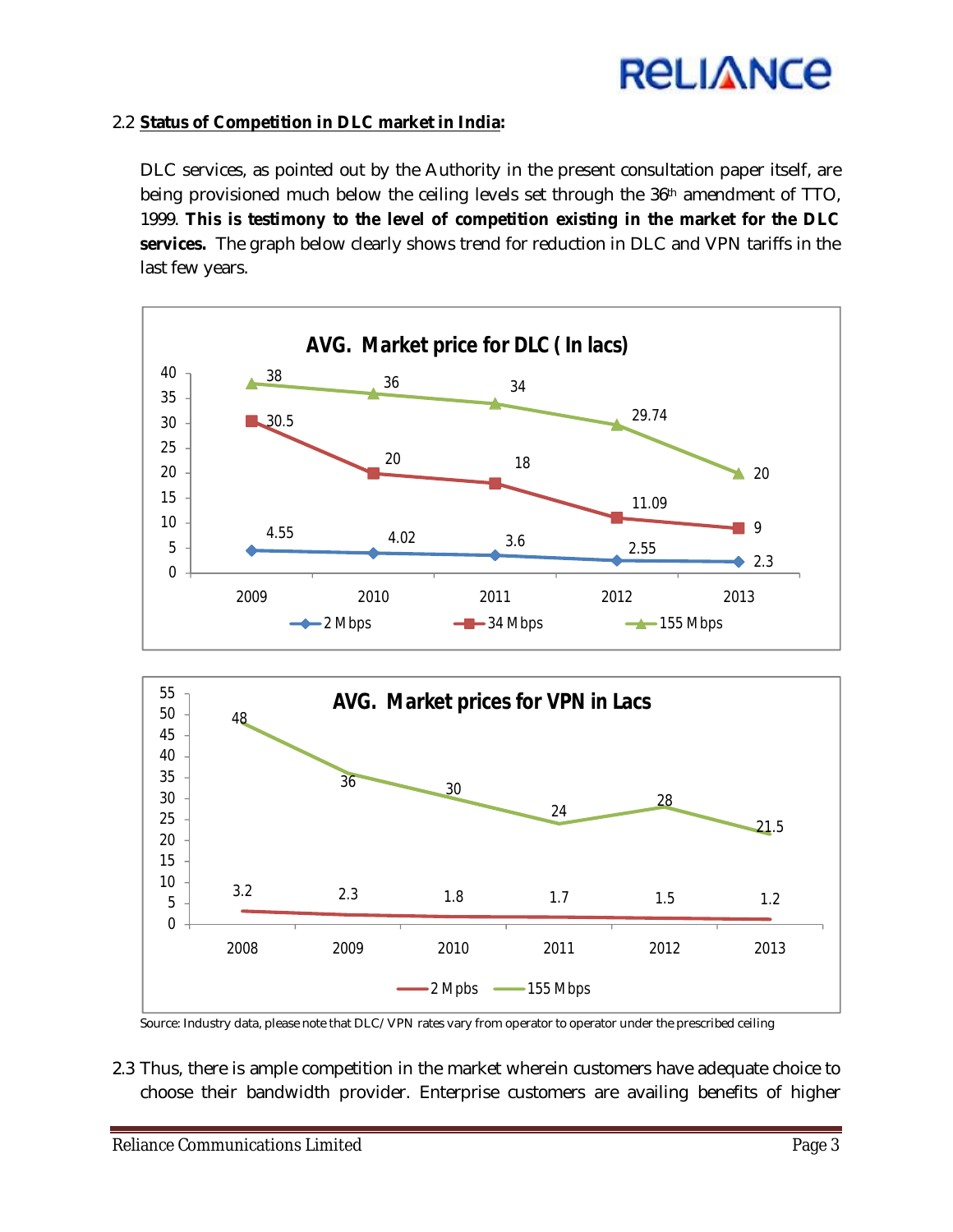# **RELIANCE**

## 2.2 **Status of Competition in DLC market in India:**

DLC services, as pointed out by the Authority in the present consultation paper itself, are being provisioned much below the ceiling levels set through the 36<sup>th</sup> amendment of TTO, 1999. **This is testimony to the level of competition existing in the market for the DLC services.** The graph below clearly shows trend for reduction in DLC and VPN tariffs in the last few years.





Source: Industry data, please note that DLC/VPN rates vary from operator to operator under the prescribed ceiling

2.3 Thus, there is ample competition in the market wherein customers have adequate choice to choose their bandwidth provider. Enterprise customers are availing benefits of higher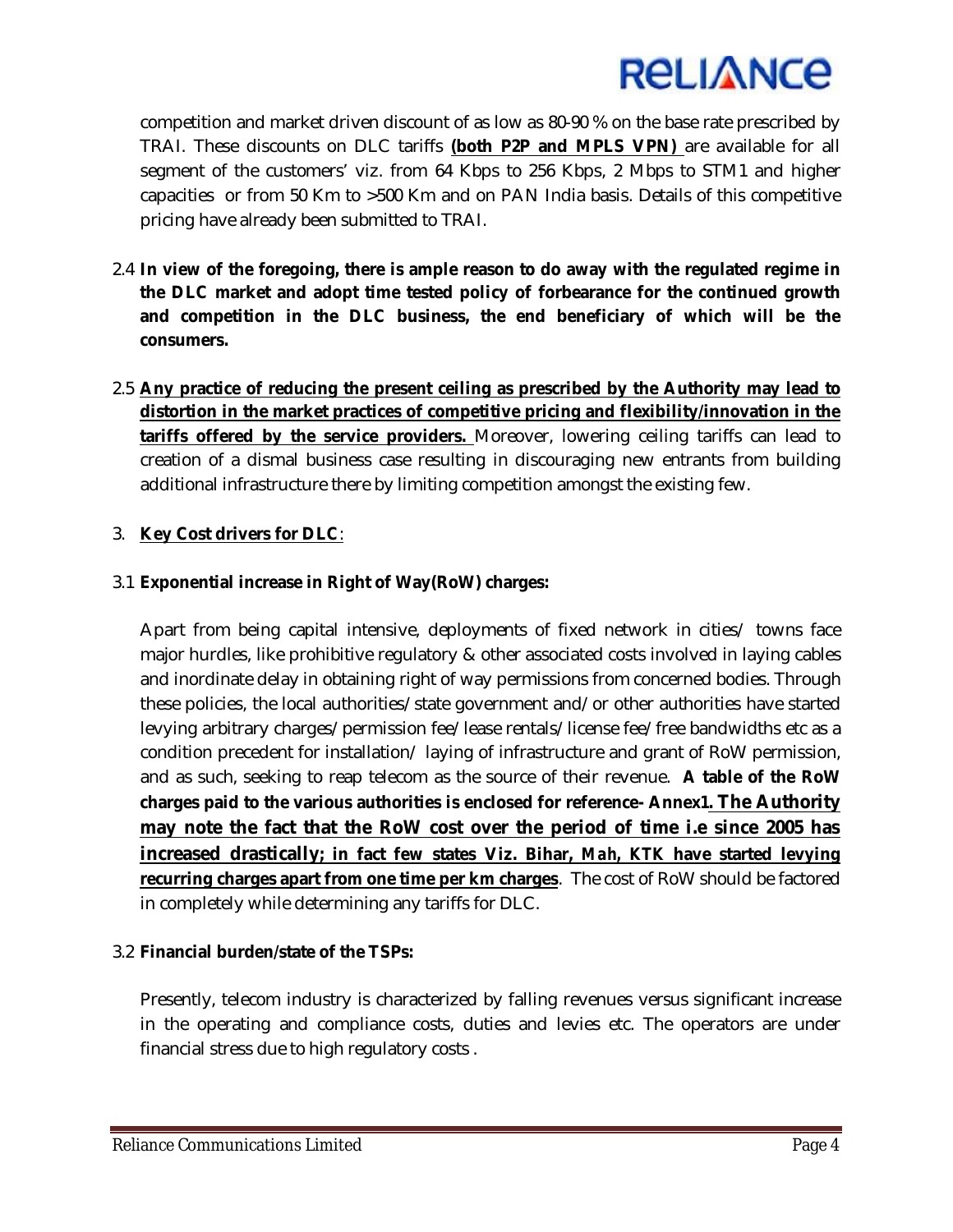

competition and market driven discount of as low as 80-90 % on the base rate prescribed by TRAI. These discounts on DLC tariffs **(both P2P and MPLS VPN)** are available for all segment of the customers' viz. from 64 Kbps to 256 Kbps, 2 Mbps to STM1 and higher capacities or from 50 Km to >500 Km and on PAN India basis. Details of this competitive pricing have already been submitted to TRAI.

- 2.4 **In view of the foregoing, there is ample reason to do away with the regulated regime in the DLC market and adopt time tested policy of forbearance for the continued growth and competition in the DLC business, the end beneficiary of which will be the consumers.**
- 2.5 **Any practice of reducing the present ceiling as prescribed by the Authority may lead to distortion in the market practices of competitive pricing and flexibility/innovation in the tariffs offered by the service providers.** Moreover, lowering ceiling tariffs can lead to creation of a dismal business case resulting in discouraging new entrants from building additional infrastructure there by limiting competition amongst the existing few.

## 3. **Key Cost drivers for DLC**:

## 3.1 **Exponential increase in Right of Way(RoW) charges:**

Apart from being capital intensive, deployments of fixed network in cities/ towns face major hurdles, like prohibitive regulatory & other associated costs involved in laying cables and inordinate delay in obtaining right of way permissions from concerned bodies. Through these policies, the local authorities/state government and/or other authorities have started levying arbitrary charges/permission fee/lease rentals/license fee/free bandwidths etc as a condition precedent for installation/ laying of infrastructure and grant of RoW permission, and as such, seeking to reap telecom as the source of their revenue. **A table of the RoW charges paid to the various authorities is enclosed for reference- Annex1. The Authority may note the fact that the RoW cost over the period of time i.e since 2005 has increased drastically; in fact few states Viz. Bihar,** *Mah, KTK* **have started levying recurring charges apart from one time per km charges**. The cost of RoW should be factored in completely while determining any tariffs for DLC.

## 3.2 **Financial burden/state of the TSPs:**

Presently, telecom industry is characterized by falling revenues versus significant increase in the operating and compliance costs, duties and levies etc. The operators are under financial stress due to high regulatory costs .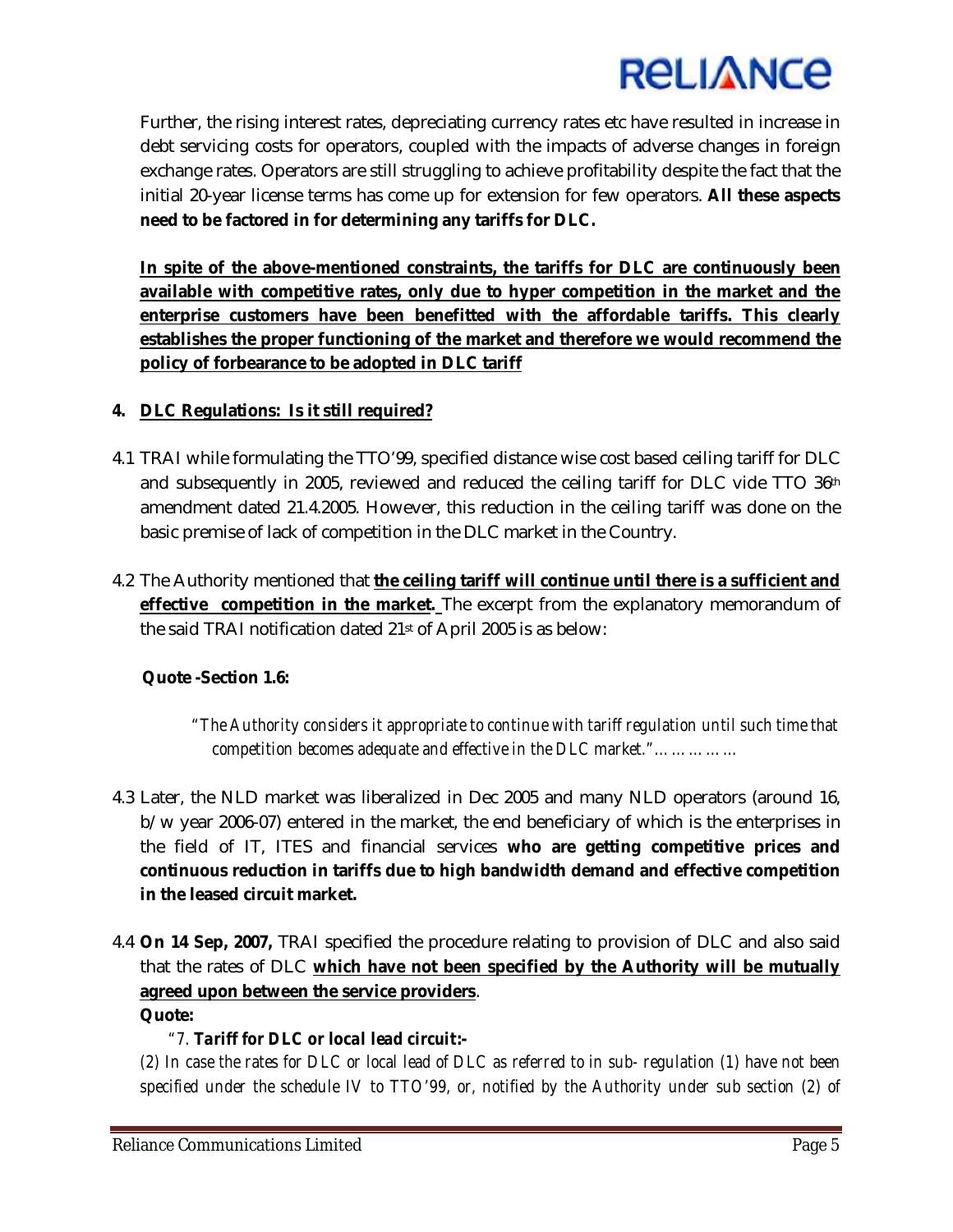

Further, the rising interest rates, depreciating currency rates etc have resulted in increase in debt servicing costs for operators, coupled with the impacts of adverse changes in foreign exchange rates. Operators are still struggling to achieve profitability despite the fact that the initial 20-year license terms has come up for extension for few operators. **All these aspects need to be factored in for determining any tariffs for DLC.**

**In spite of the above-mentioned constraints, the tariffs for DLC are continuously been available with competitive rates, only due to hyper competition in the market and the enterprise customers have been benefitted with the affordable tariffs. This clearly establishes the proper functioning of the market and therefore we would recommend the policy of forbearance to be adopted in DLC tariff**

## **4. DLC Regulations: Is it still required?**

- 4.1 TRAI while formulating the TTO'99, specified distance wise cost based ceiling tariff for DLC and subsequently in 2005, reviewed and reduced the ceiling tariff for DLC vide TTO 36th amendment dated 21.4.2005. However, this reduction in the ceiling tariff was done on the basic premise of lack of competition in the DLC market in the Country.
- 4.2 The Authority mentioned that **the ceiling tariff will continue until there is a sufficient and effective competition in the market.** The excerpt from the explanatory memorandum of the said TRAI notification dated 21st of April 2005 is as below:

## **Quote -Section 1.6:**

 *"The Authority considers it appropriate to continue with tariff regulation until such time that competition becomes adequate and effective in the DLC market."……………*

- 4.3 Later, the NLD market was liberalized in Dec 2005 and many NLD operators (around 16, b/w year 2006-07) entered in the market, the end beneficiary of which is the enterprises in the field of IT, ITES and financial services **who are getting competitive prices and continuous reduction in tariffs due to high bandwidth demand and effective competition in the leased circuit market.**
- 4.4 **On 14 Sep, 2007,** TRAI specified the procedure relating to provision of DLC and also said that the rates of DLC **which have not been specified by the Authority will be mutually agreed upon between the service providers**. **Quote:**

# *"7. Tariff for DLC or local lead circuit***:-**

*(2) In case the rates for DLC or local lead of DLC as referred to in sub- regulation (1) have not been specified under the schedule IV to TTO'99, or, notified by the Authority under sub section (2) of*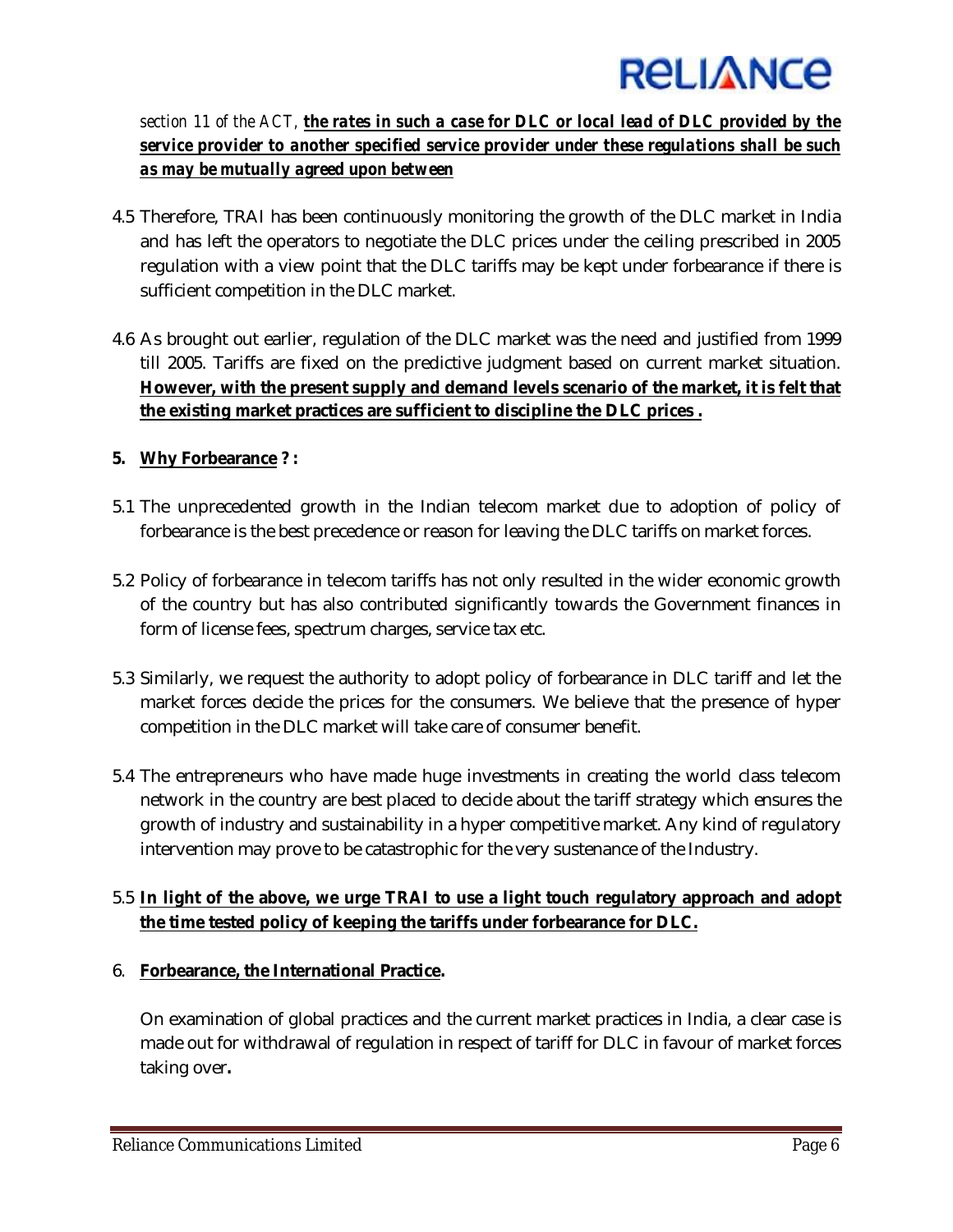

*section 11 of the ACT, the rates in such a case for DLC or local lead of DLC provided by the service provider to another specified service provider under these regulations shall be such as may be mutually agreed upon between*

- 4.5 Therefore, TRAI has been continuously monitoring the growth of the DLC market in India and has left the operators to negotiate the DLC prices under the ceiling prescribed in 2005 regulation with a view point that the DLC tariffs may be kept under forbearance if there is sufficient competition in the DLC market.
- 4.6 As brought out earlier, regulation of the DLC market was the need and justified from 1999 till 2005. Tariffs are fixed on the predictive judgment based on current market situation. **However, with the present supply and demand levels scenario of the market, it is felt that the existing market practices are sufficient to discipline the DLC prices .**

# **5. Why Forbearance ? :**

- 5.1 The unprecedented growth in the Indian telecom market due to adoption of policy of forbearance is the best precedence or reason for leaving the DLC tariffs on market forces.
- 5.2 Policy of forbearance in telecom tariffs has not only resulted in the wider economic growth of the country but has also contributed significantly towards the Government finances in form of license fees, spectrum charges, service tax etc.
- 5.3 Similarly, we request the authority to adopt policy of forbearance in DLC tariff and let the market forces decide the prices for the consumers. We believe that the presence of hyper competition in the DLC market will take care of consumer benefit.
- 5.4 The entrepreneurs who have made huge investments in creating the world class telecom network in the country are best placed to decide about the tariff strategy which ensures the growth of industry and sustainability in a hyper competitive market. Any kind of regulatory intervention may prove to be catastrophic for the very sustenance of the Industry.

# 5.5 **In light of the above, we urge TRAI to use a light touch regulatory approach and adopt the time tested policy of keeping the tariffs under forbearance for DLC.**

## 6. **Forbearance, the International Practice.**

On examination of global practices and the current market practices in India, a clear case is made out for withdrawal of regulation in respect of tariff for DLC in favour of market forces taking over**.**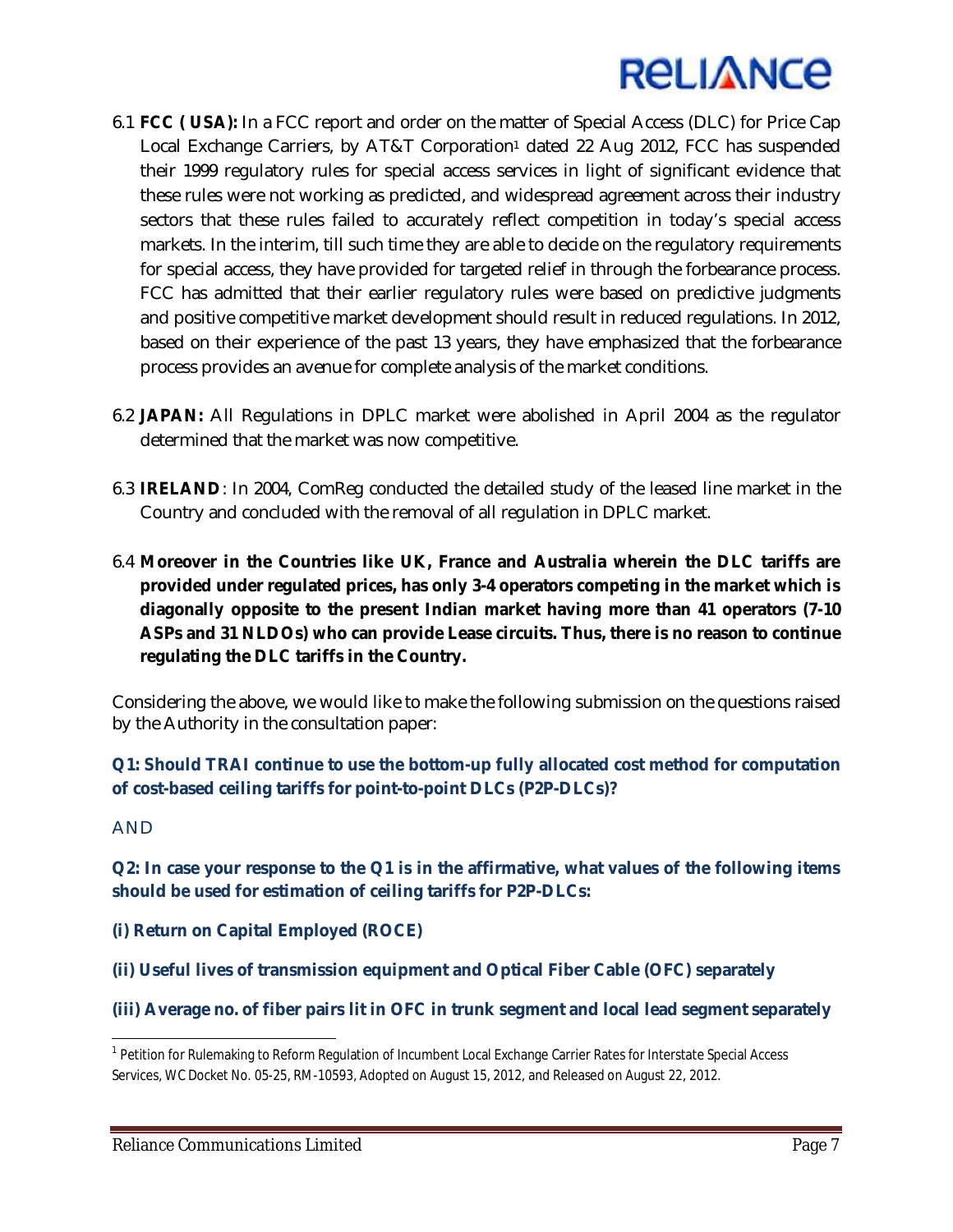

- 6.1 **FCC ( USA):** In a FCC report and order on the matter of Special Access (DLC) for Price Cap Local Exchange Carriers, by AT&T Corporation<sup>1</sup> dated 22 Aug 2012, FCC has suspended their 1999 regulatory rules for special access services in light of significant evidence that these rules were not working as predicted, and widespread agreement across their industry sectors that these rules failed to accurately reflect competition in today's special access markets. In the interim, till such time they are able to decide on the regulatory requirements for special access, they have provided for targeted relief in through the forbearance process. FCC has admitted that their earlier regulatory rules were based on predictive judgments and positive competitive market development should result in reduced regulations. In 2012, based on their experience of the past 13 years, they have emphasized that the forbearance process provides an avenue for complete analysis of the market conditions.
- 6.2 **JAPAN:** All Regulations in DPLC market were abolished in April 2004 as the regulator determined that the market was now competitive.
- 6.3 **IRELAND**: In 2004, ComReg conducted the detailed study of the leased line market in the Country and concluded with the removal of all regulation in DPLC market.
- 6.4 **Moreover in the Countries like UK, France and Australia wherein the DLC tariffs are provided under regulated prices, has only 3-4 operators competing in the market which is diagonally opposite to the present Indian market having more than 41 operators (7-10 ASPs and 31 NLDOs) who can provide Lease circuits. Thus, there is no reason to continue regulating the DLC tariffs in the Country.**

Considering the above, we would like to make the following submission on the questions raised by the Authority in the consultation paper:

**Q1: Should TRAI continue to use the bottom-up fully allocated cost method for computation of cost-based ceiling tariffs for point-to-point DLCs (P2P-DLCs)?** 

## AND

 $\overline{a}$ 

**Q2: In case your response to the Q1 is in the affirmative, what values of the following items should be used for estimation of ceiling tariffs for P2P-DLCs:** 

**(i) Return on Capital Employed (ROCE)** 

**(ii) Useful lives of transmission equipment and Optical Fiber Cable (OFC) separately** 

**(iii) Average no. of fiber pairs lit in OFC in trunk segment and local lead segment separately** 

<sup>&</sup>lt;sup>1</sup> Petition for Rulemaking to Reform Regulation of Incumbent Local Exchange Carrier Rates for Interstate Special Access Services, WC Docket No. 05-25, RM-10593, Adopted on August 15, 2012, and Released on August 22, 2012.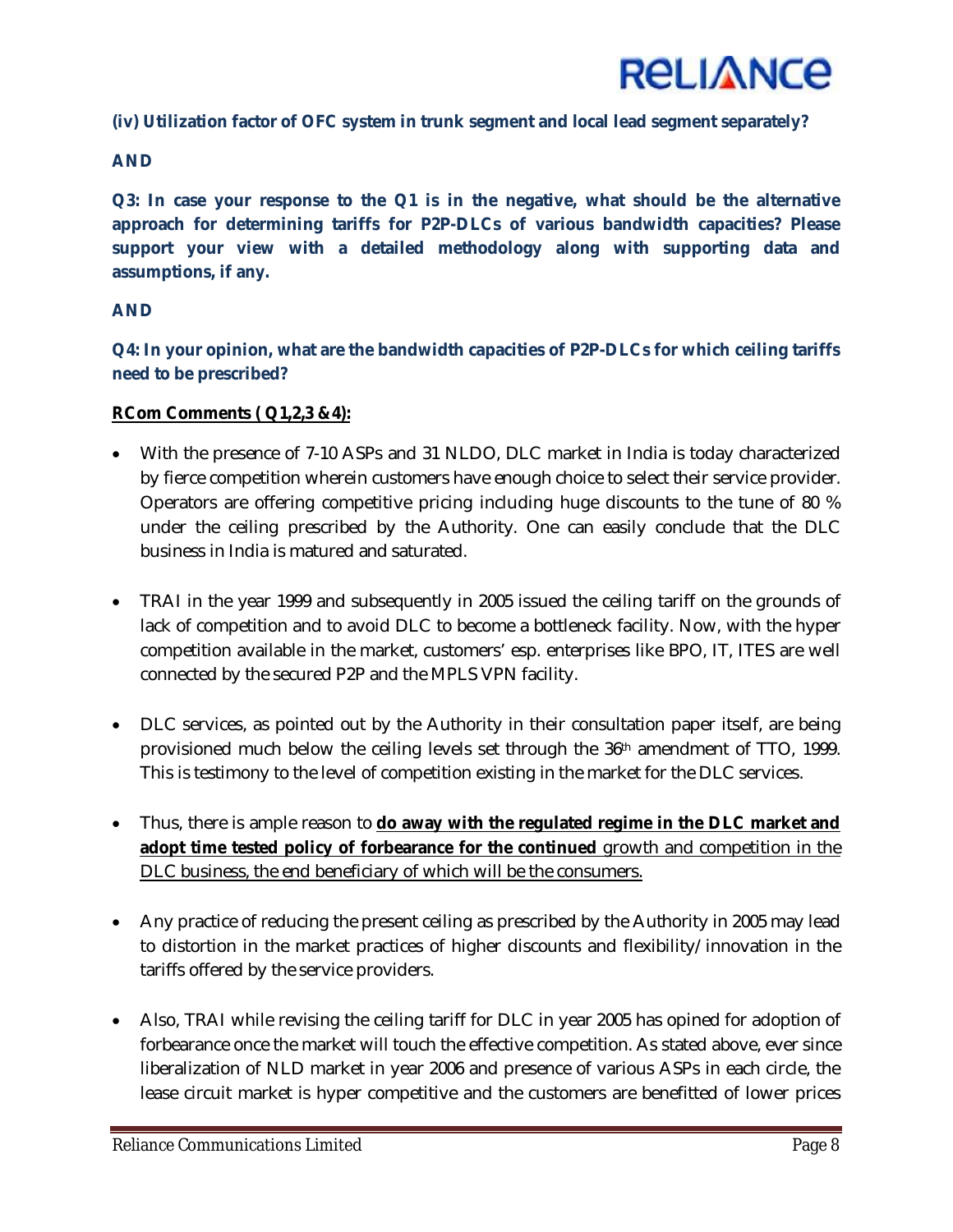

**(iv) Utilization factor of OFC system in trunk segment and local lead segment separately?** 

## **AND**

**Q3: In case your response to the Q1 is in the negative, what should be the alternative approach for determining tariffs for P2P-DLCs of various bandwidth capacities? Please support your view with a detailed methodology along with supporting data and assumptions, if any.** 

## **AND**

**Q4: In your opinion, what are the bandwidth capacities of P2P-DLCs for which ceiling tariffs need to be prescribed?** 

## **RCom Comments ( Q1,2,3 &4):**

- With the presence of 7-10 ASPs and 31 NLDO, DLC market in India is today characterized by fierce competition wherein customers have enough choice to select their service provider. Operators are offering competitive pricing including huge discounts to the tune of 80 % under the ceiling prescribed by the Authority. One can easily conclude that the DLC business in India is matured and saturated.
- TRAI in the year 1999 and subsequently in 2005 issued the ceiling tariff on the grounds of lack of competition and to avoid DLC to become a bottleneck facility. Now, with the hyper competition available in the market, customers' esp. enterprises like BPO, IT, ITES are well connected by the secured P2P and the MPLS VPN facility.
- DLC services, as pointed out by the Authority in their consultation paper itself, are being provisioned much below the ceiling levels set through the 36th amendment of TTO, 1999. This is testimony to the level of competition existing in the market for the DLC services.
- Thus, there is ample reason to **do away with the regulated regime in the DLC market and**  adopt time tested policy of forbearance for the continued growth and competition in the DLC business, the end beneficiary of which will be the consumers.
- Any practice of reducing the present ceiling as prescribed by the Authority in 2005 may lead to distortion in the market practices of higher discounts and flexibility/innovation in the tariffs offered by the service providers.
- Also, TRAI while revising the ceiling tariff for DLC in year 2005 has opined for adoption of forbearance once the market will touch the effective competition. As stated above, ever since liberalization of NLD market in year 2006 and presence of various ASPs in each circle, the lease circuit market is hyper competitive and the customers are benefitted of lower prices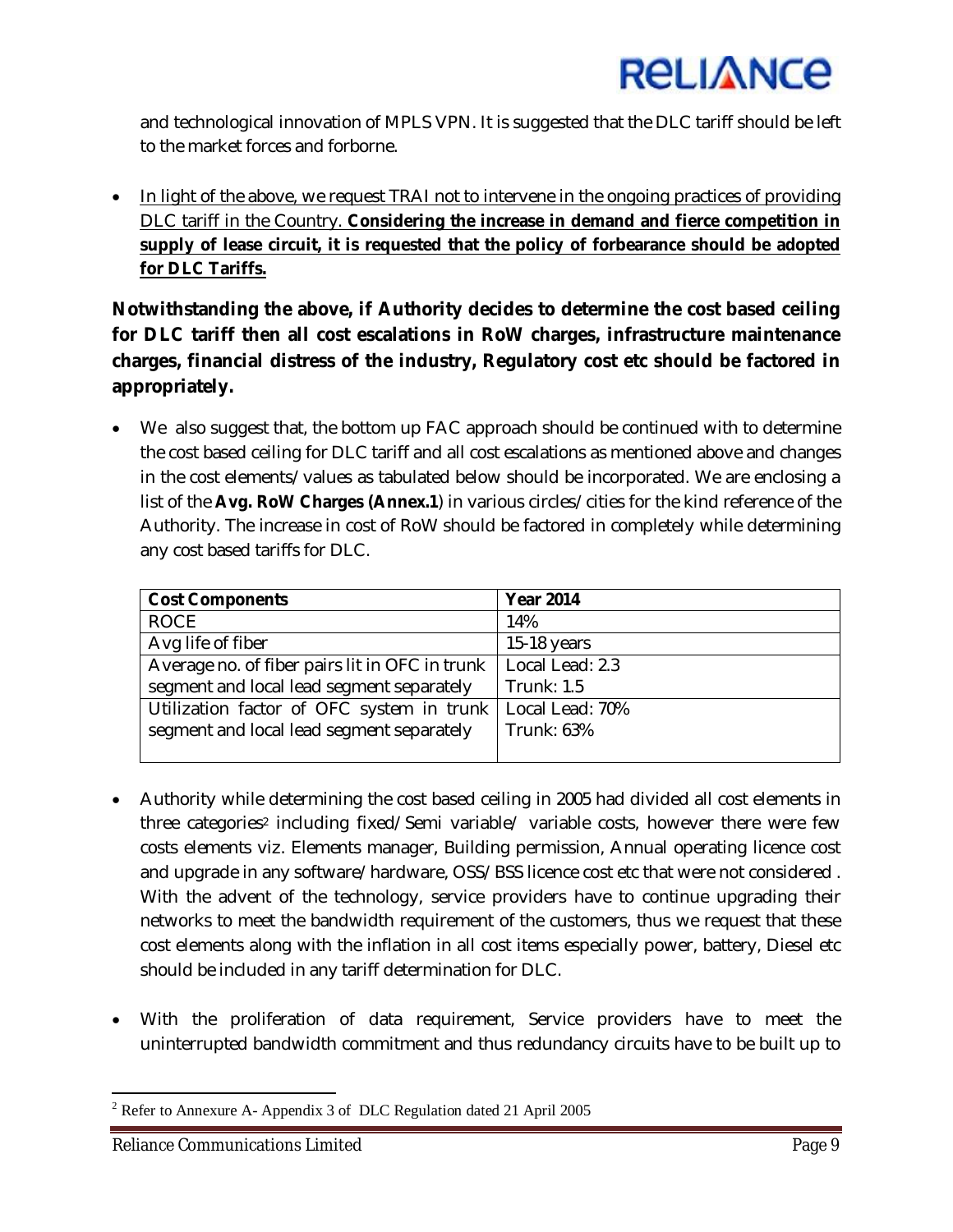

and technological innovation of MPLS VPN. It is suggested that the DLC tariff should be left to the market forces and forborne.

• In light of the above, we request TRAI not to intervene in the ongoing practices of providing DLC tariff in the Country. **Considering the increase in demand and fierce competition in supply of lease circuit, it is requested that the policy of forbearance should be adopted for DLC Tariffs.**

**Notwithstanding the above, if Authority decides to determine the cost based ceiling for DLC tariff then all cost escalations in RoW charges, infrastructure maintenance charges, financial distress of the industry, Regulatory cost etc should be factored in appropriately.**

• We also suggest that, the bottom up FAC approach should be continued with to determine the cost based ceiling for DLC tariff and all cost escalations as mentioned above and changes in the cost elements/values as tabulated below should be incorporated. We are enclosing a list of the **Avg. RoW Charges (Annex.1**) in various circles/cities for the kind reference of the Authority. The increase in cost of RoW should be factored in completely while determining any cost based tariffs for DLC.

| <b>Cost Components</b>                         | <b>Year 2014</b>  |  |
|------------------------------------------------|-------------------|--|
| <b>ROCE</b>                                    | 14%               |  |
| Avg life of fiber                              | 15-18 years       |  |
| Average no. of fiber pairs lit in OFC in trunk | Local Lead: 2.3   |  |
| segment and local lead segment separately      | <b>Trunk: 1.5</b> |  |
| Utilization factor of OFC system in trunk      | Local Lead: 70%   |  |
| segment and local lead segment separately      | Trunk: 63%        |  |
|                                                |                   |  |

- Authority while determining the cost based ceiling in 2005 had divided all cost elements in three categories<sup>2</sup> including fixed/Semi variable/ variable costs, however there were few costs elements viz. Elements manager, Building permission, Annual operating licence cost and upgrade in any software/hardware, OSS/BSS licence cost etc that were not considered . With the advent of the technology, service providers have to continue upgrading their networks to meet the bandwidth requirement of the customers, thus we request that these cost elements along with the inflation in all cost items especially power, battery, Diesel etc should be included in any tariff determination for DLC.
- With the proliferation of data requirement, Service providers have to meet the uninterrupted bandwidth commitment and thus redundancy circuits have to be built up to

 $\overline{a}$ <sup>2</sup> Refer to Annexure A- Appendix 3 of DLC Regulation dated 21 April 2005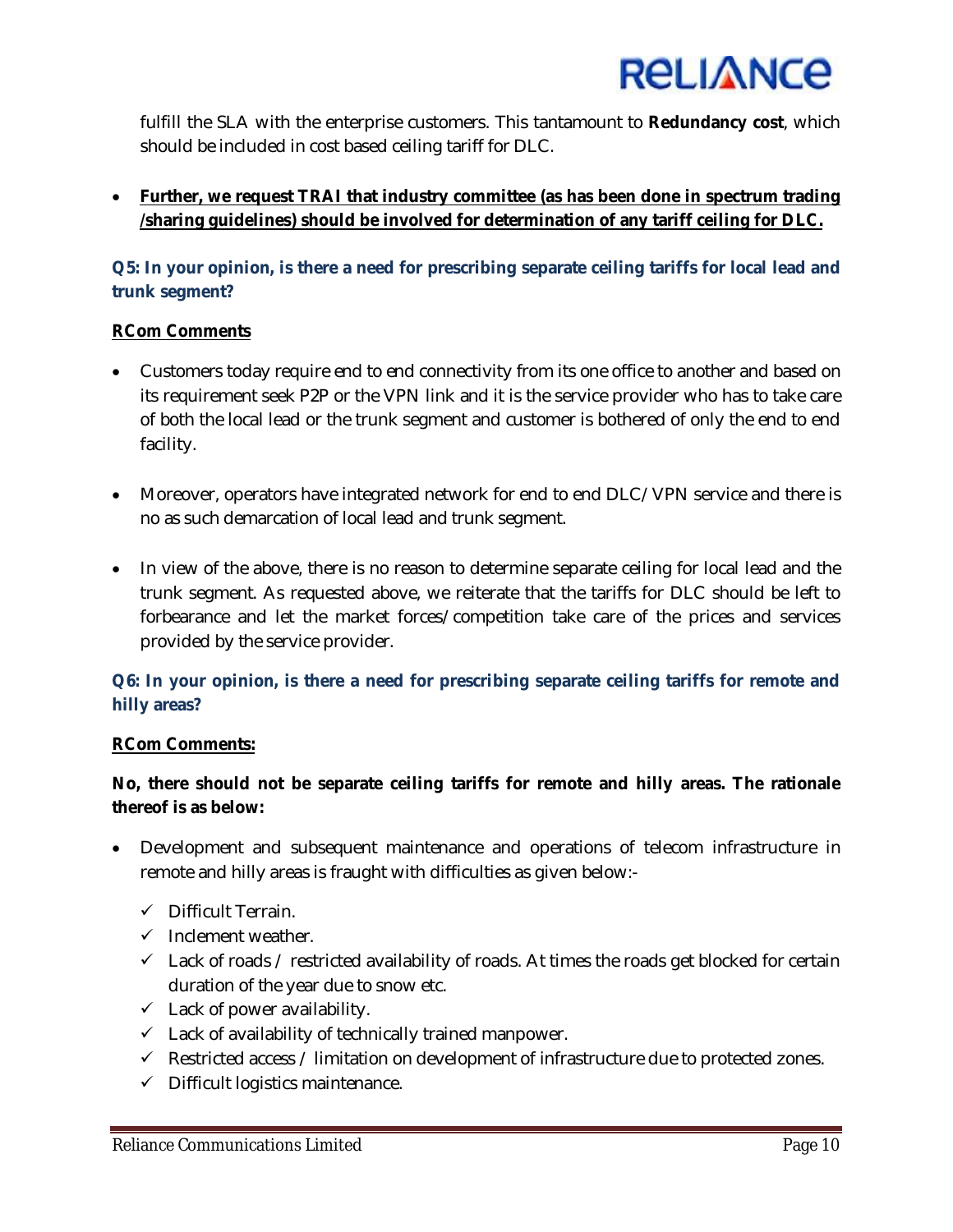

fulfill the SLA with the enterprise customers. This tantamount to **Redundancy cost**, which should be included in cost based ceiling tariff for DLC.

 **Further, we request TRAI that industry committee (as has been done in spectrum trading /sharing guidelines) should be involved for determination of any tariff ceiling for DLC.** 

# **Q5: In your opinion, is there a need for prescribing separate ceiling tariffs for local lead and trunk segment?**

## **RCom Comments**

- Customers today require end to end connectivity from its one office to another and based on its requirement seek P2P or the VPN link and it is the service provider who has to take care of both the local lead or the trunk segment and customer is bothered of only the end to end facility.
- Moreover, operators have integrated network for end to end DLC/VPN service and there is no as such demarcation of local lead and trunk segment.
- In view of the above, there is no reason to determine separate ceiling for local lead and the trunk segment. As requested above, we reiterate that the tariffs for DLC should be left to forbearance and let the market forces/competition take care of the prices and services provided by the service provider.

# **Q6: In your opinion, is there a need for prescribing separate ceiling tariffs for remote and hilly areas?**

## **RCom Comments:**

# **No, there should not be separate ceiling tariffs for remote and hilly areas. The rationale thereof is as below:**

- Development and subsequent maintenance and operations of telecom infrastructure in remote and hilly areas is fraught with difficulties as given below:-
	- $\checkmark$  Difficult Terrain.
	- $\checkmark$  Inclement weather.
	- $\checkmark$  Lack of roads / restricted availability of roads. At times the roads get blocked for certain duration of the year due to snow etc.
	- $\checkmark$  Lack of power availability.
	- $\checkmark$  Lack of availability of technically trained manpower.
	- $\checkmark$  Restricted access / limitation on development of infrastructure due to protected zones.
	- $\checkmark$  Difficult logistics maintenance.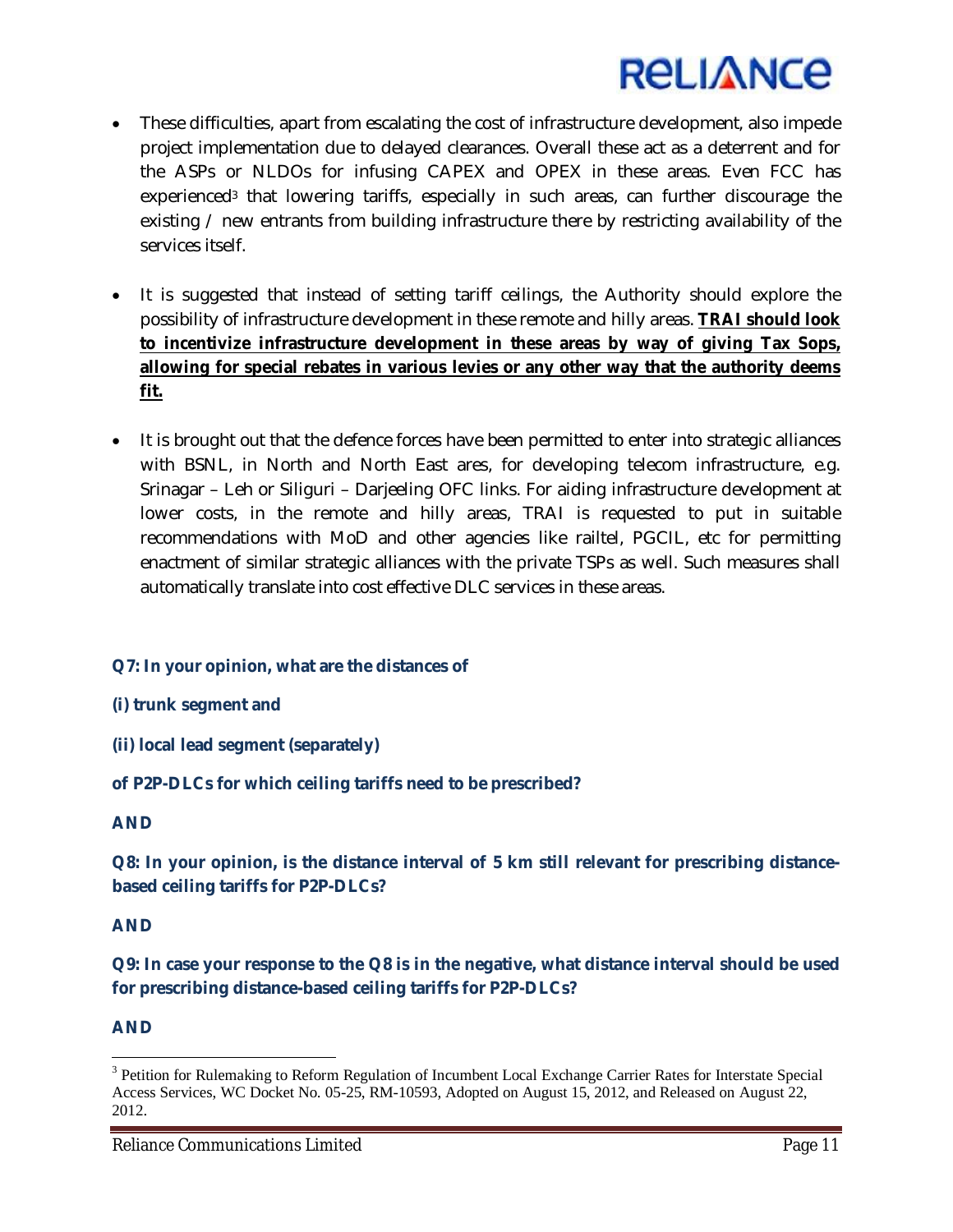

- These difficulties, apart from escalating the cost of infrastructure development, also impede project implementation due to delayed clearances. Overall these act as a deterrent and for the ASPs or NLDOs for infusing CAPEX and OPEX in these areas. Even FCC has experienced<sup>3</sup> that lowering tariffs, especially in such areas, can further discourage the existing / new entrants from building infrastructure there by restricting availability of the services itself.
- It is suggested that instead of setting tariff ceilings, the Authority should explore the possibility of infrastructure development in these remote and hilly areas. **TRAI should look to incentivize infrastructure development in these areas by way of giving Tax Sops, allowing for special rebates in various levies or any other way that the authority deems fit.**
- It is brought out that the defence forces have been permitted to enter into strategic alliances with BSNL, in North and North East ares, for developing telecom infrastructure, e.g. Srinagar – Leh or Siliguri – Darjeeling OFC links. For aiding infrastructure development at lower costs, in the remote and hilly areas, TRAI is requested to put in suitable recommendations with MoD and other agencies like railtel, PGCIL, etc for permitting enactment of similar strategic alliances with the private TSPs as well. Such measures shall automatically translate into cost effective DLC services in these areas.

## **Q7: In your opinion, what are the distances of**

- **(i) trunk segment and**
- **(ii) local lead segment (separately)**

## **of P2P-DLCs for which ceiling tariffs need to be prescribed?**

#### **AND**

**Q8: In your opinion, is the distance interval of 5 km still relevant for prescribing distancebased ceiling tariffs for P2P-DLCs?** 

#### **AND**

**Q9: In case your response to the Q8 is in the negative, what distance interval should be used for prescribing distance-based ceiling tariffs for P2P-DLCs?** 

#### **AND**

 $\overline{\phantom{a}}$ 

<sup>&</sup>lt;sup>3</sup> Petition for Rulemaking to Reform Regulation of Incumbent Local Exchange Carrier Rates for Interstate Special Access Services, WC Docket No. 05-25, RM-10593, Adopted on August 15, 2012, and Released on August 22, 2012.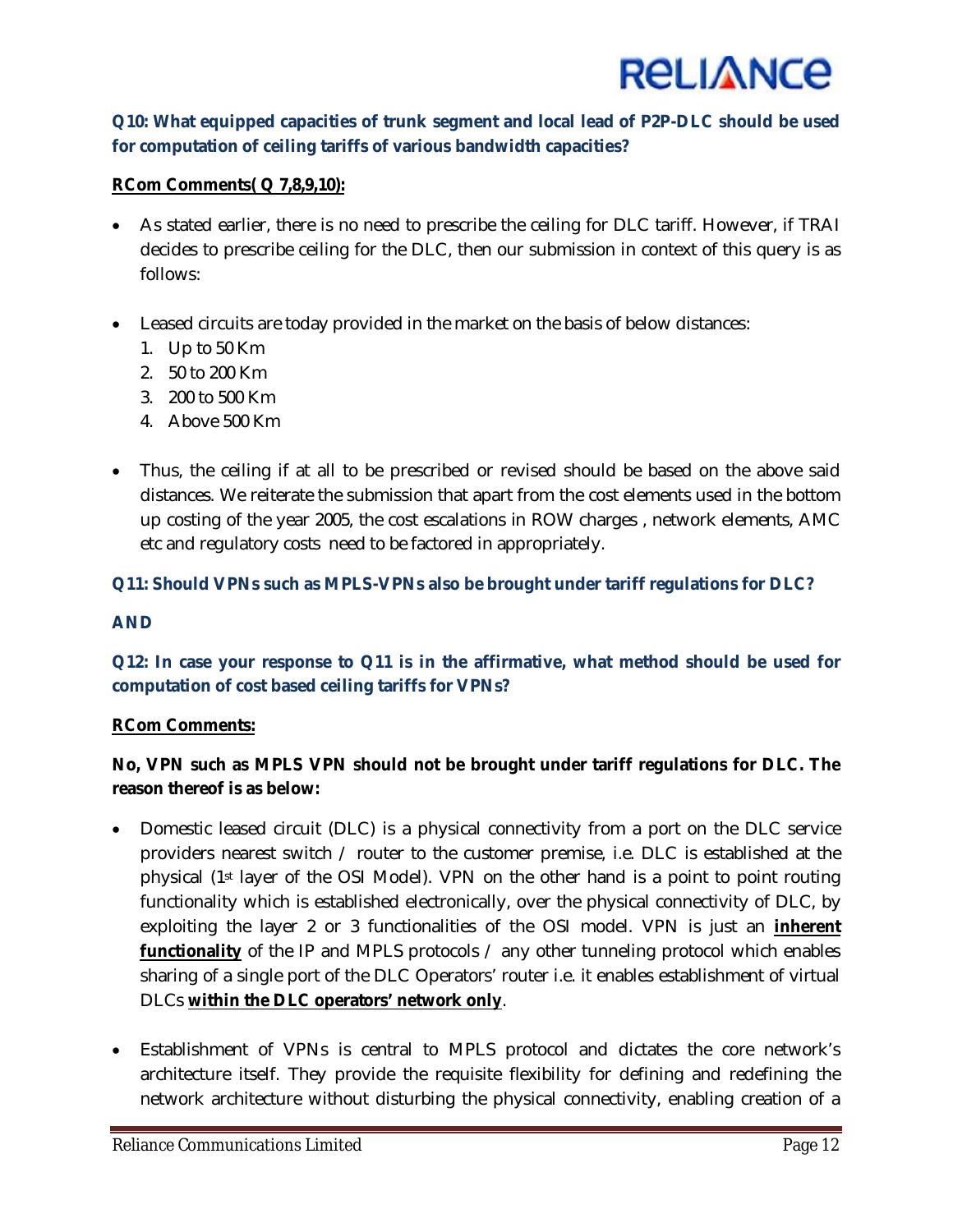

# **Q10: What equipped capacities of trunk segment and local lead of P2P-DLC should be used for computation of ceiling tariffs of various bandwidth capacities?**

## **RCom Comments( Q 7,8,9,10):**

- As stated earlier, there is no need to prescribe the ceiling for DLC tariff. However, if TRAI decides to prescribe ceiling for the DLC, then our submission in context of this query is as follows:
- Leased circuits are today provided in the market on the basis of below distances:
	- 1. Up to 50 Km
	- 2. 50 to 200 Km
	- 3. 200 to 500 Km
	- 4. Above 500 Km
- Thus, the ceiling if at all to be prescribed or revised should be based on the above said distances. We reiterate the submission that apart from the cost elements used in the bottom up costing of the year 2005, the cost escalations in ROW charges , network elements, AMC etc and regulatory costs need to be factored in appropriately.

## **Q11: Should VPNs such as MPLS-VPNs also be brought under tariff regulations for DLC?**

## **AND**

## **Q12: In case your response to Q11 is in the affirmative, what method should be used for computation of cost based ceiling tariffs for VPNs?**

#### **RCom Comments:**

# **No, VPN such as MPLS VPN should not be brought under tariff regulations for DLC. The reason thereof is as below:**

- Domestic leased circuit (DLC) is a physical connectivity from a port on the DLC service providers nearest switch / router to the customer premise, i.e. DLC is established at the physical (1st layer of the OSI Model). VPN on the other hand is a point to point routing functionality which is established electronically, over the physical connectivity of DLC, by exploiting the layer 2 or 3 functionalities of the OSI model. VPN is just an **inherent functionality** of the IP and MPLS protocols / any other tunneling protocol which enables sharing of a single port of the DLC Operators' router i.e. it enables establishment of virtual DLCs **within the DLC operators' network only**.
- Establishment of VPNs is central to MPLS protocol and dictates the core network's architecture itself. They provide the requisite flexibility for defining and redefining the network architecture without disturbing the physical connectivity, enabling creation of a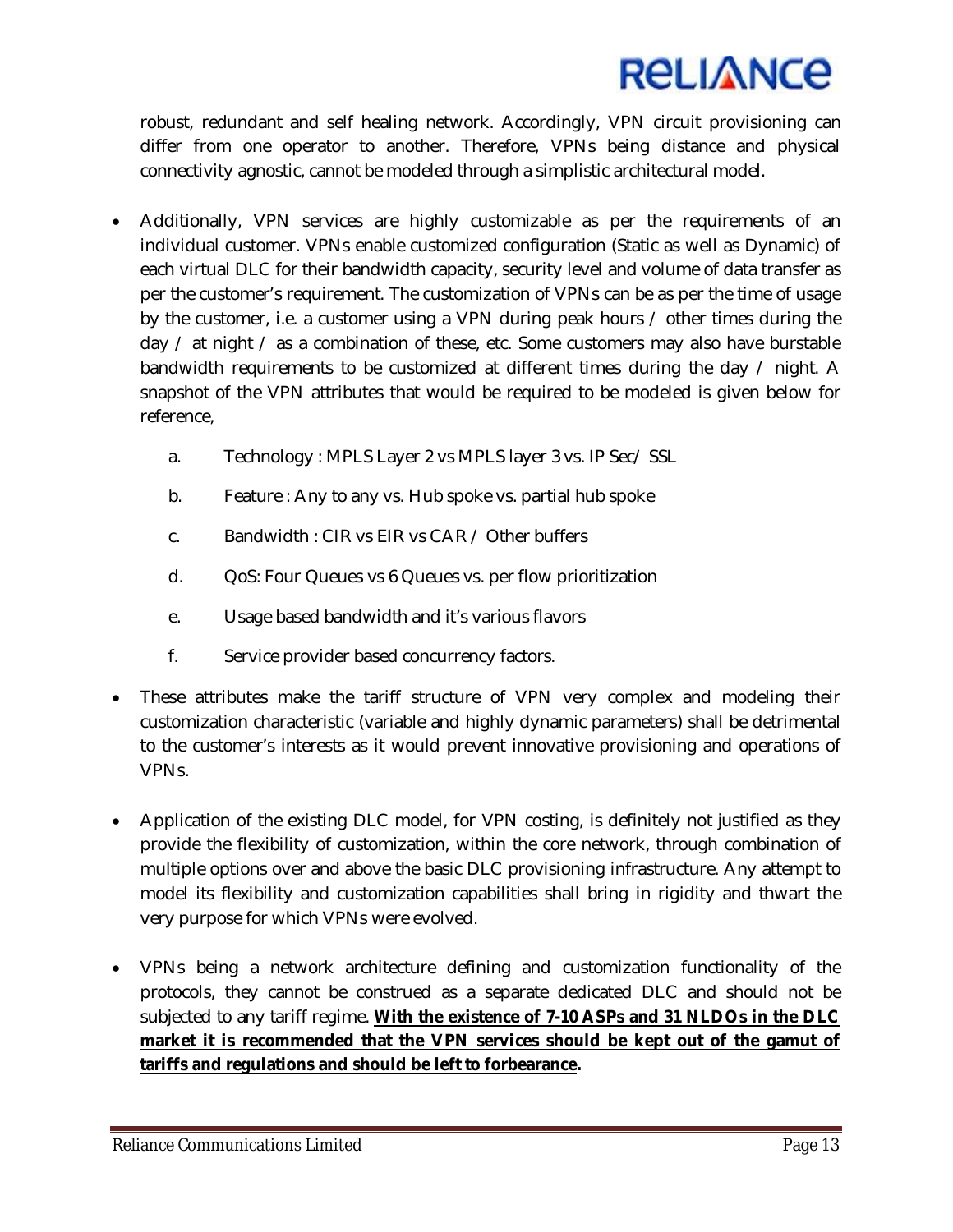

robust, redundant and self healing network. Accordingly, VPN circuit provisioning can differ from one operator to another. Therefore, VPNs being distance and physical connectivity agnostic, cannot be modeled through a simplistic architectural model.

- Additionally, VPN services are highly customizable as per the requirements of an individual customer. VPNs enable customized configuration (Static as well as Dynamic) of each virtual DLC for their bandwidth capacity, security level and volume of data transfer as per the customer's requirement. The customization of VPNs can be as per the time of usage by the customer, i.e. a customer using a VPN during peak hours / other times during the day  $\ell$  at night  $\ell$  as a combination of these, etc. Some customers may also have burstable bandwidth requirements to be customized at different times during the day / night. A snapshot of the VPN attributes that would be required to be modeled is given below for reference,
	- a. Technology : MPLS Layer 2 vs MPLS layer 3 vs. IP Sec/ SSL
	- b. Feature : Any to any vs. Hub spoke vs. partial hub spoke
	- c. Bandwidth : CIR vs EIR vs CAR / Other buffers
	- d. QoS: Four Queues vs 6 Queues vs. per flow prioritization
	- e. Usage based bandwidth and it's various flavors
	- f. Service provider based concurrency factors.
- These attributes make the tariff structure of VPN very complex and modeling their customization characteristic (variable and highly dynamic parameters) shall be detrimental to the customer's interests as it would prevent innovative provisioning and operations of VPNs.
- Application of the existing DLC model, for VPN costing, is definitely not justified as they provide the flexibility of customization, within the core network, through combination of multiple options over and above the basic DLC provisioning infrastructure. Any attempt to model its flexibility and customization capabilities shall bring in rigidity and thwart the very purpose for which VPNs were evolved.
- VPNs being a network architecture defining and customization functionality of the protocols, they cannot be construed as a separate dedicated DLC and should not be subjected to any tariff regime. **With the existence of 7-10 ASPs and 31 NLDOs in the DLC market it is recommended that the VPN services should be kept out of the gamut of tariffs and regulations and should be left to forbearance.**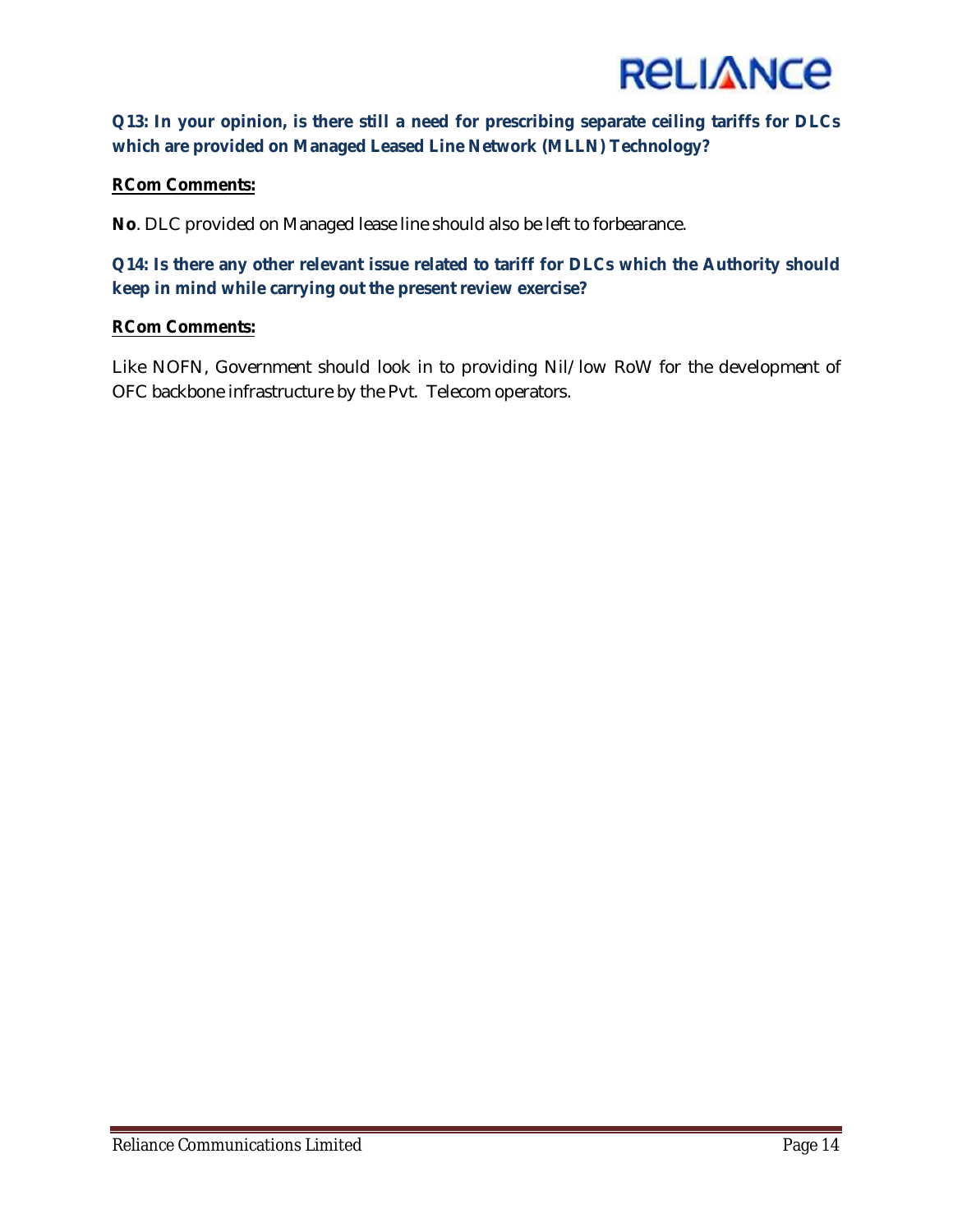

## **Q13: In your opinion, is there still a need for prescribing separate ceiling tariffs for DLCs which are provided on Managed Leased Line Network (MLLN) Technology?**

## **RCom Comments:**

**No**. DLC provided on Managed lease line should also be left to forbearance.

**Q14: Is there any other relevant issue related to tariff for DLCs which the Authority should keep in mind while carrying out the present review exercise?**

#### **RCom Comments:**

Like NOFN, Government should look in to providing Nil/low RoW for the development of OFC backbone infrastructure by the Pvt. Telecom operators.